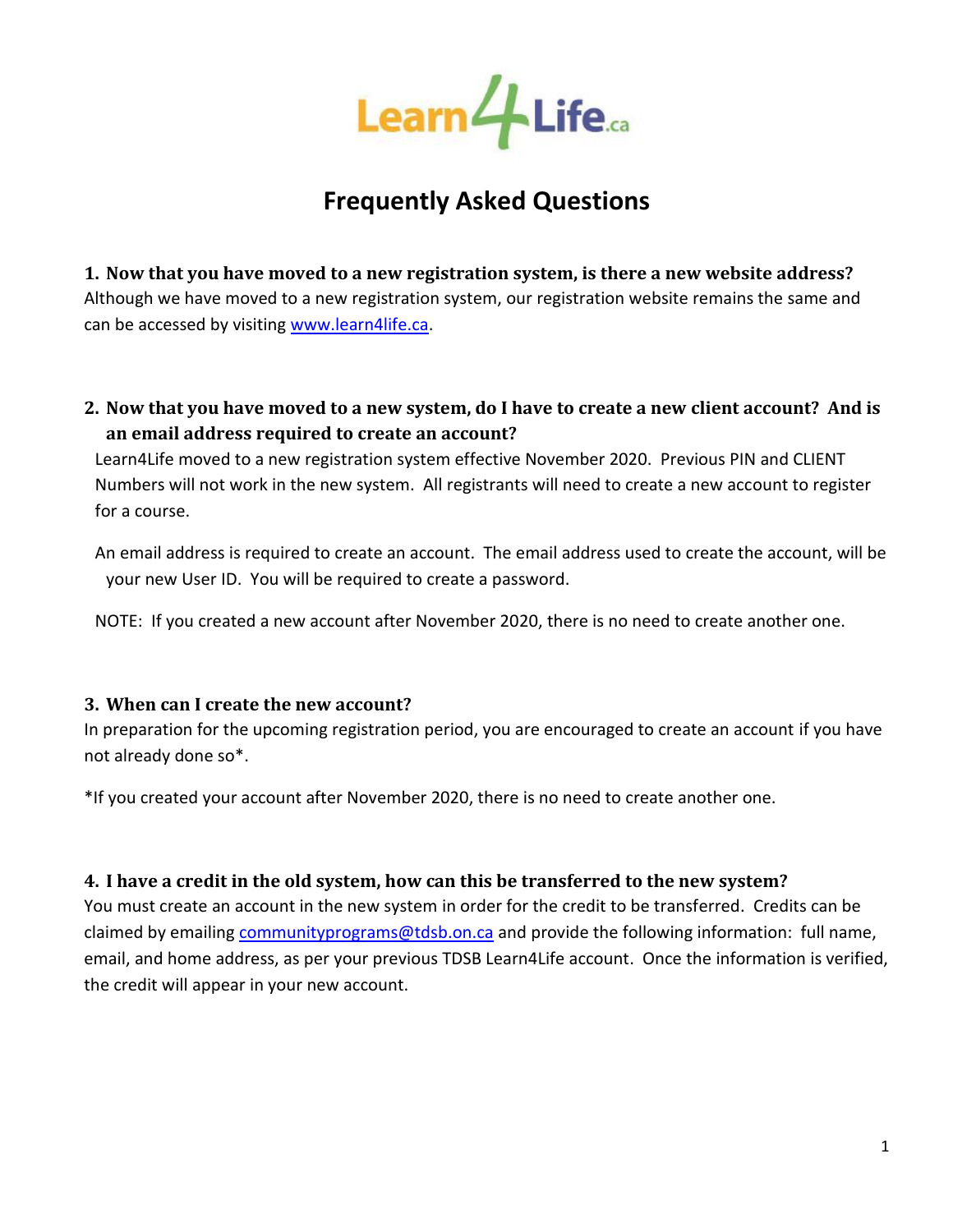

# **Frequently Asked Questions**

**1. Now that you have moved to a new registration system, is there a new website address?** Although we have moved to a new registration system, our registration website remains the same and can be accessed by visiting [www.learn4life.ca.](http://www.learn4life.ca/)

**2. Now that you have moved to a new system, do I have to create a new client account? And is an email address required to create an account?**

Learn4Life moved to a new registration system effective November 2020. Previous PIN and CLIENT Numbers will not work in the new system. All registrants will need to create a new account to register for a course.

An email address is required to create an account. The email address used to create the account, will be your new User ID. You will be required to create a password.

NOTE: If you created a new account after November 2020, there is no need to create another one.

#### **3. When can I create the new account?**

In preparation for the upcoming registration period, you are encouraged to create an account if you have not already done so\*.

\*If you created your account after November 2020, there is no need to create another one.

#### **4. I have a credit in the old system, how can this be transferred to the new system?**

You must create an account in the new system in order for the credit to be transferred. Credits can be claimed by emailing [communityprograms@tdsb.on.ca](mailto:communityprograms@tdsb.on.ca) and provide the following information: full name, email, and home address, as per your previous TDSB Learn4Life account. Once the information is verified, the credit will appear in your new account.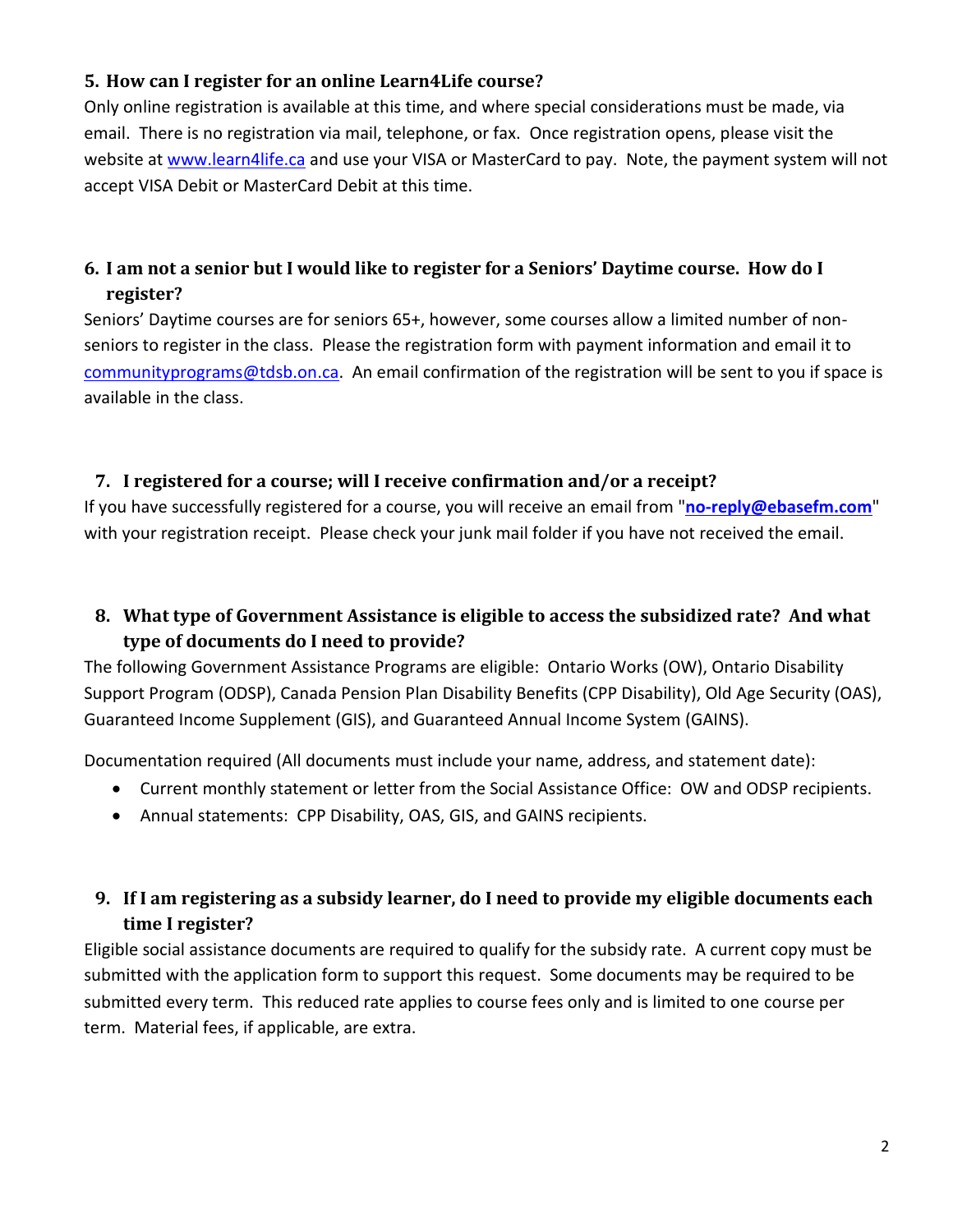## **5. How can I register for an online Learn4Life course?**

Only online registration is available at this time, and where special considerations must be made, via email. There is no registration via mail, telephone, or fax. Once registration opens, please visit the website at [www.learn4life.ca](http://www.learn4life.ca/) and use your VISA or MasterCard to pay. Note, the payment system will not accept VISA Debit or MasterCard Debit at this time.

# **6. I am not a senior but I would like to register for a Seniors' Daytime course. How do I register?**

Seniors' Daytime courses are for seniors 65+, however, some courses allow a limited number of nonseniors to register in the class. Please the registration form with payment information and email it to [communityprograms@tdsb.on.ca.](mailto:communityprograms@tdsb.on.ca) An email confirmation of the registration will be sent to you if space is available in the class.

#### **7. I registered for a course; will I receive confirmation and/or a receipt?**

If you have successfully registered for a course, you will receive an email from "**[no-reply@ebasefm.com](mailto:no-reply@ebasefm.com)**" with your registration receipt. Please check your junk mail folder if you have not received the email.

## **8. What type of Government Assistance is eligible to access the subsidized rate? And what type of documents do I need to provide?**

The following Government Assistance Programs are eligible: Ontario Works (OW), Ontario Disability Support Program (ODSP), Canada Pension Plan Disability Benefits (CPP Disability), Old Age Security (OAS), Guaranteed Income Supplement (GIS), and Guaranteed Annual Income System (GAINS).

Documentation required (All documents must include your name, address, and statement date):

- Current monthly statement or letter from the Social Assistance Office: OW and ODSP recipients.
- Annual statements: CPP Disability, OAS, GIS, and GAINS recipients.

# **9. If I am registering as a subsidy learner, do I need to provide my eligible documents each time I register?**

Eligible social assistance documents are required to qualify for the subsidy rate. A current copy must be submitted with the application form to support this request. Some documents may be required to be submitted every term. This reduced rate applies to course fees only and is limited to one course per term. Material fees, if applicable, are extra.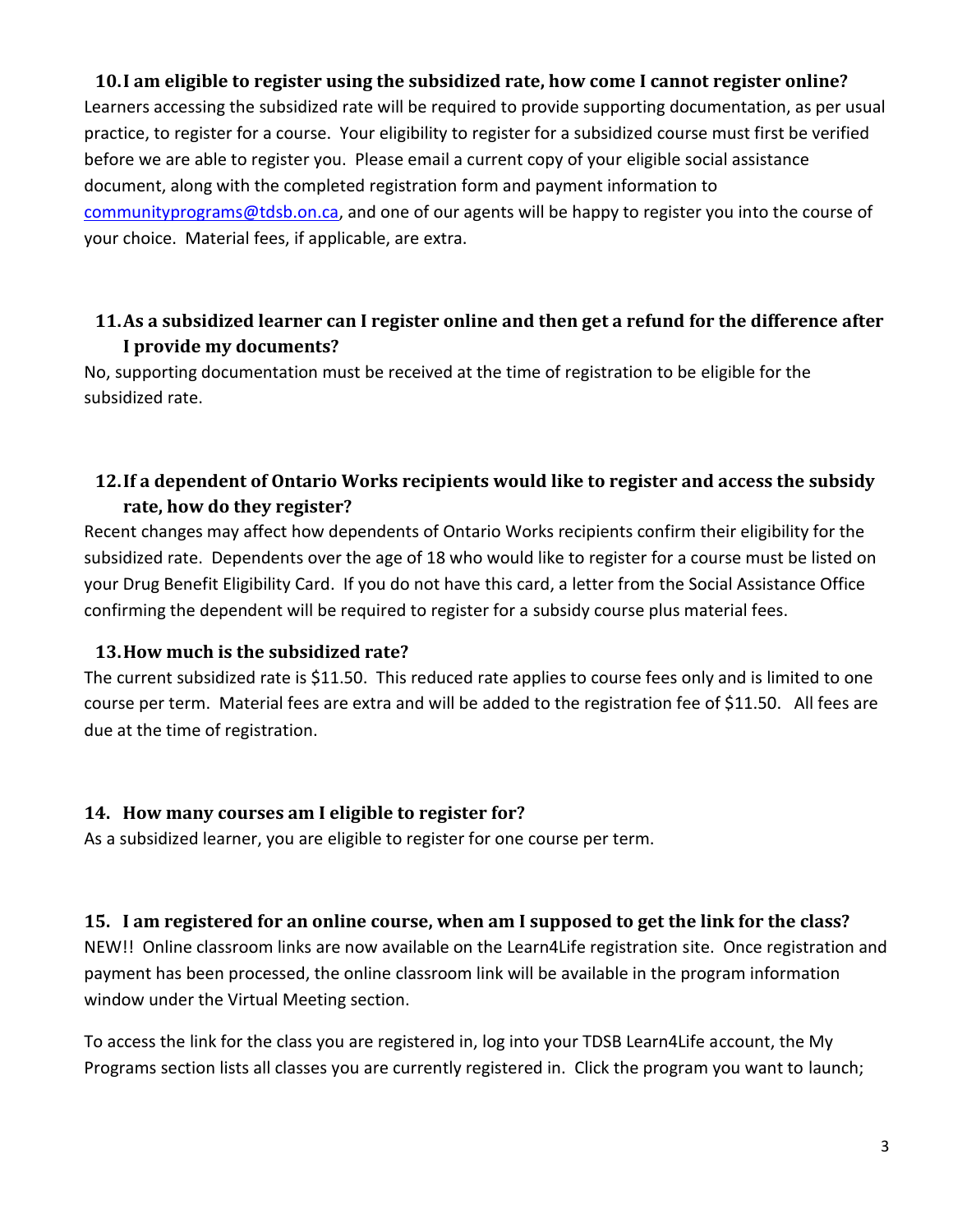## **10.I am eligible to register using the subsidized rate, how come I cannot register online?**

Learners accessing the subsidized rate will be required to provide supporting documentation, as per usual practice, to register for a course. Your eligibility to register for a subsidized course must first be verified before we are able to register you. Please email a current copy of your eligible social assistance document, along with the completed registration form and payment information to [communityprograms@tdsb.on.ca,](mailto:communityprograms@tdsb.on.ca) and one of our agents will be happy to register you into the course of your choice. Material fees, if applicable, are extra.

## **11.As a subsidized learner can I register online and then get a refund for the difference after I provide my documents?**

No, supporting documentation must be received at the time of registration to be eligible for the subsidized rate.

## **12.If a dependent of Ontario Works recipients would like to register and access the subsidy rate, how do they register?**

Recent changes may affect how dependents of Ontario Works recipients confirm their eligibility for the subsidized rate. Dependents over the age of 18 who would like to register for a course must be listed on your Drug Benefit Eligibility Card. If you do not have this card, a letter from the Social Assistance Office confirming the dependent will be required to register for a subsidy course plus material fees.

#### **13.How much is the subsidized rate?**

The current subsidized rate is \$11.50. This reduced rate applies to course fees only and is limited to one course per term. Material fees are extra and will be added to the registration fee of \$11.50. All fees are due at the time of registration.

#### **14. How many courses am I eligible to register for?**

As a subsidized learner, you are eligible to register for one course per term.

#### **15. I am registered for an online course, when am I supposed to get the link for the class?**

NEW!! Online classroom links are now available on the Learn4Life registration site. Once registration and payment has been processed, the online classroom link will be available in the program information window under the Virtual Meeting section.

To access the link for the class you are registered in, log into your TDSB Learn4Life account, the My Programs section lists all classes you are currently registered in. Click the program you want to launch;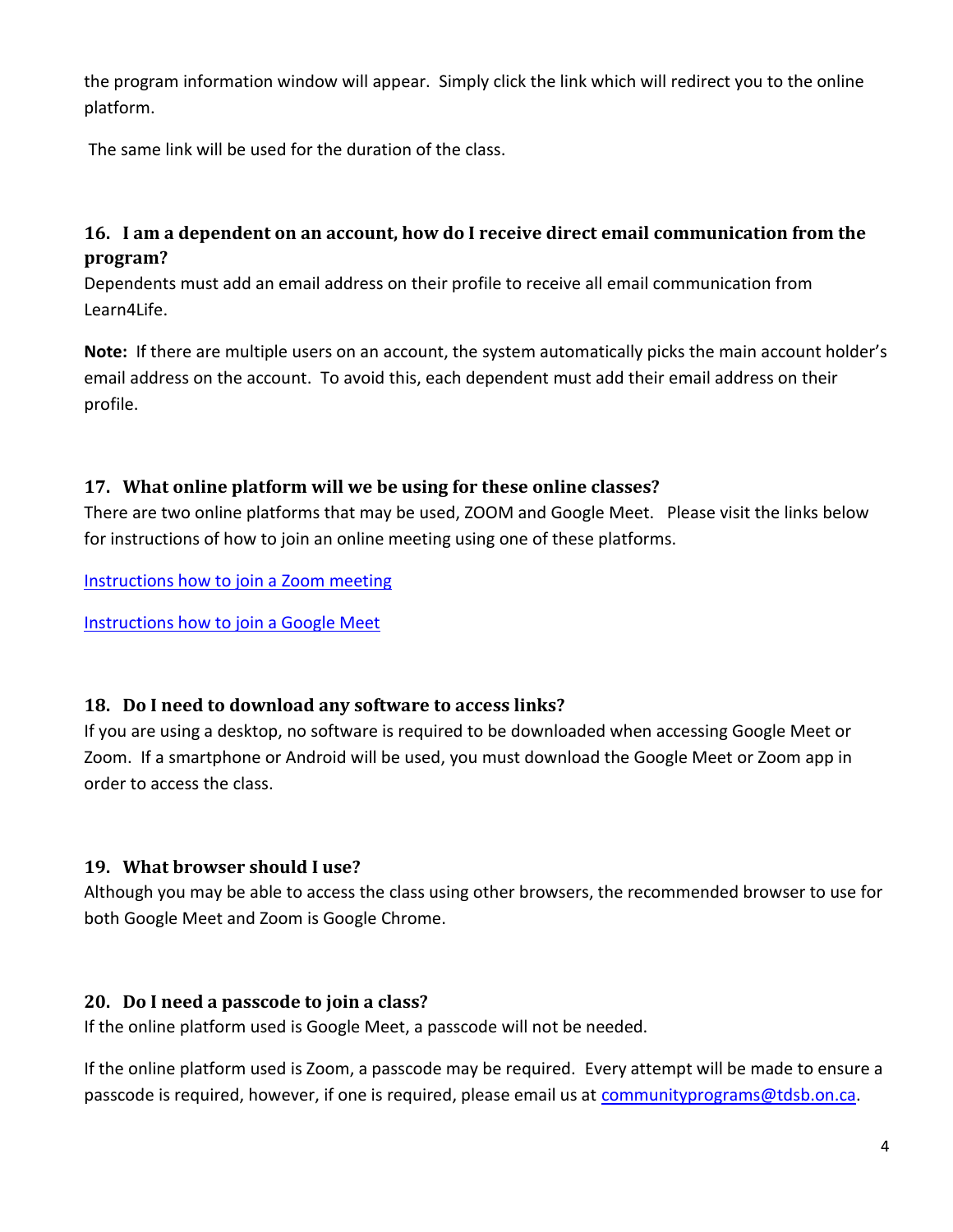the program information window will appear. Simply click the link which will redirect you to the online platform.

The same link will be used for the duration of the class.

# **16. I am a dependent on an account, how do I receive direct email communication from the program?**

Dependents must add an email address on their profile to receive all email communication from Learn4Life.

**Note:** If there are multiple users on an account, the system automatically picks the main account holder's email address on the account. To avoid this, each dependent must add their email address on their profile.

## **17. What online platform will we be using for these online classes?**

There are two online platforms that may be used, ZOOM and Google Meet. Please visit the links below for instructions of how to join an online meeting using one of these platforms.

[Instructions how to join a Zoom meeting](https://www.youtube.com/embed/hIkCmbvAHQQ?rel=0&autoplay=1&cc_load_policy=1)

[Instructions how to join a Google Meet](https://www.youtube.com/watch?v=_ftEhUczkII)

#### **18. Do I need to download any software to access links?**

If you are using a desktop, no software is required to be downloaded when accessing Google Meet or Zoom. If a smartphone or Android will be used, you must download the Google Meet or Zoom app in order to access the class.

## **19. What browser should I use?**

Although you may be able to access the class using other browsers, the recommended browser to use for both Google Meet and Zoom is Google Chrome.

## **20. Do I need a passcode to join a class?**

If the online platform used is Google Meet, a passcode will not be needed.

If the online platform used is Zoom, a passcode may be required. Every attempt will be made to ensure a passcode is required, however, if one is required, please email us at [communityprograms@tdsb.on.ca.](mailto:communityprograms@tdsb.on.ca)